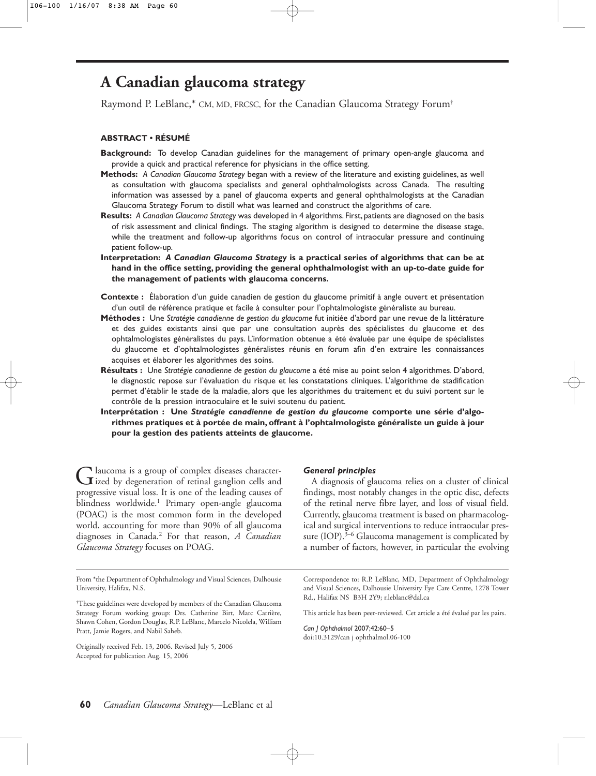# **A Canadian glaucoma strategy**

Raymond P. LeBlanc,\* CM, MD, FRCSC, for the Canadian Glaucoma Strategy Forum†

### **ABSTRACT • RÉSUMÉ**

- **Background:** To develop Canadian guidelines for the management of primary open-angle glaucoma and provide a quick and practical reference for physicians in the office setting.
- **Methods:** *A Canadian Glaucoma Strategy* began with a review of the literature and existing guidelines, as well as consultation with glaucoma specialists and general ophthalmologists across Canada. The resulting information was assessed by a panel of glaucoma experts and general ophthalmologists at the Canadian Glaucoma Strategy Forum to distill what was learned and construct the algorithms of care.
- **Results:** *A Canadian Glaucoma Strategy* was developed in 4 algorithms. First, patients are diagnosed on the basis of risk assessment and clinical findings. The staging algorithm is designed to determine the disease stage, while the treatment and follow-up algorithms focus on control of intraocular pressure and continuing patient follow-up.
- **Interpretation:** *A Canadian Glaucoma Strategy* **is a practical series of algorithms that can be at hand in the office setting, providing the general ophthalmologist with an up-to-date guide for the management of patients with glaucoma concerns.**
- **Contexte :** Élaboration d'un guide canadien de gestion du glaucome primitif à angle ouvert et présentation d'un outil de référence pratique et facile à consulter pour l'ophtalmologiste généraliste au bureau.
- **Méthodes :** Une *Stratégie canadienne de gestion du glaucome* fut initiée d'abord par une revue de la littérature et des guides existants ainsi que par une consultation auprès des spécialistes du glaucome et des ophtalmologistes généralistes du pays. L'information obtenue a été évaluée par une équipe de spécialistes du glaucome et d'ophtalmologistes généralistes réunis en forum afin d'en extraire les connaissances acquises et élaborer les algorithmes des soins.
- **Résultats :** Une *Stratégie canadienne de gestion du glaucome* a été mise au point selon 4 algorithmes. D'abord, le diagnostic repose sur l'évaluation du risque et les constatations cliniques. L'algorithme de stadification permet d'établir le stade de la maladie, alors que les algorithmes du traitement et du suivi portent sur le contrôle de la pression intraoculaire et le suivi soutenu du patient.
- **Interprétation : Une** *Stratégie canadienne de gestion du glaucome* **comporte une série d'algorithmes pratiques et à portée de main, offrant à l'ophtalmologiste généraliste un guide à jour pour la gestion des patients atteints de glaucome.**

Glaucoma is a group of complex diseases character-<br>Gized by degeneration of retinal ganglion cells and progressive visual loss. It is one of the leading causes of blindness worldwide.1 Primary open-angle glaucoma (POAG) is the most common form in the developed world, accounting for more than 90% of all glaucoma diagnoses in Canada.2 For that reason, *A Canadian Glaucoma Strategy* focuses on POAG.

From \*the Department of Ophthalmology and Visual Sciences, Dalhousie University, Halifax, N.S.

Originally received Feb. 13, 2006. Revised July 5, 2006 Accepted for publication Aug. 15, 2006

#### *General principles*

A diagnosis of glaucoma relies on a cluster of clinical findings, most notably changes in the optic disc, defects of the retinal nerve fibre layer, and loss of visual field. Currently, glaucoma treatment is based on pharmacological and surgical interventions to reduce intraocular pressure  $(IOP).$ <sup>3-6</sup> Glaucoma management is complicated by a number of factors, however, in particular the evolving

Correspondence to: R.P. LeBlanc, MD, Department of Ophthalmology and Visual Sciences, Dalhousie University Eye Care Centre, 1278 Tower Rd., Halifax NS B3H 2Y9; r.leblanc@dal.ca

This article has been peer-reviewed. Cet article a été évalué par les pairs.

*Can J Ophthalmol* 2007;42:60–5 doi:10.3129/can j ophthalmol.06-100

<sup>†</sup> These guidelines were developed by members of the Canadian Glaucoma Strategy Forum working group: Drs. Catherine Birt, Marc Carrière, Shawn Cohen, Gordon Douglas, R.P. LeBlanc, Marcelo Nicolela, William Pratt, Jamie Rogers, and Nabil Saheb.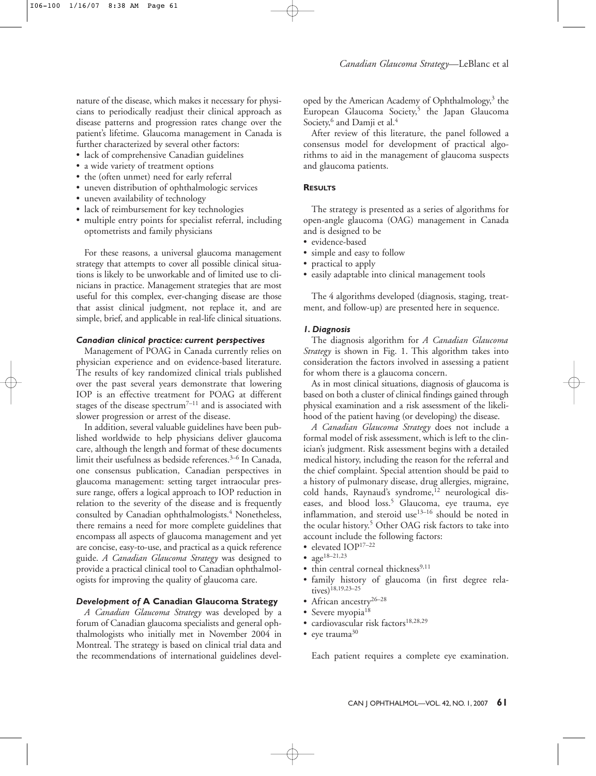## nature of the disease, which makes it necessary for physicians to periodically readjust their clinical approach as disease patterns and progression rates change over the patient's lifetime. Glaucoma management in Canada is further characterized by several other factors:

- lack of comprehensive Canadian guidelines
- a wide variety of treatment options
- the (often unmet) need for early referral
- uneven distribution of ophthalmologic services
- uneven availability of technology
- lack of reimbursement for key technologies
- multiple entry points for specialist referral, including optometrists and family physicians

For these reasons, a universal glaucoma management strategy that attempts to cover all possible clinical situations is likely to be unworkable and of limited use to clinicians in practice. Management strategies that are most useful for this complex, ever-changing disease are those that assist clinical judgment, not replace it, and are simple, brief, and applicable in real-life clinical situations.

#### *Canadian clinical practice: current perspectives*

Management of POAG in Canada currently relies on physician experience and on evidence-based literature. The results of key randomized clinical trials published over the past several years demonstrate that lowering IOP is an effective treatment for POAG at different stages of the disease spectrum<sup>7-11</sup> and is associated with slower progression or arrest of the disease.

In addition, several valuable guidelines have been published worldwide to help physicians deliver glaucoma care, although the length and format of these documents limit their usefulness as bedside references.3–6 In Canada, one consensus publication, Canadian perspectives in glaucoma management: setting target intraocular pressure range, offers a logical approach to IOP reduction in relation to the severity of the disease and is frequently consulted by Canadian ophthalmologists.<sup>4</sup> Nonetheless, there remains a need for more complete guidelines that encompass all aspects of glaucoma management and yet are concise, easy-to-use, and practical as a quick reference guide. *A Canadian Glaucoma Strategy* was designed to provide a practical clinical tool to Canadian ophthalmologists for improving the quality of glaucoma care.

## *Development of* **A Canadian Glaucoma Strategy**

*A Canadian Glaucoma Strategy* was developed by a forum of Canadian glaucoma specialists and general ophthalmologists who initially met in November 2004 in Montreal. The strategy is based on clinical trial data and the recommendations of international guidelines developed by the American Academy of Ophthalmology,<sup>3</sup> the European Glaucoma Society,<sup>5</sup> the Japan Glaucoma Society, $^6$  and Damji et al. $^4$ 

After review of this literature, the panel followed a consensus model for development of practical algorithms to aid in the management of glaucoma suspects and glaucoma patients.

#### **RESULTS**

The strategy is presented as a series of algorithms for open-angle glaucoma (OAG) management in Canada and is designed to be

- evidence-based
- simple and easy to follow
- practical to apply
- easily adaptable into clinical management tools

The 4 algorithms developed (diagnosis, staging, treatment, and follow-up) are presented here in sequence.

#### *1. Diagnosis*

The diagnosis algorithm for *A Canadian Glaucoma Strategy* is shown in Fig. 1. This algorithm takes into consideration the factors involved in assessing a patient for whom there is a glaucoma concern.

As in most clinical situations, diagnosis of glaucoma is based on both a cluster of clinical findings gained through physical examination and a risk assessment of the likelihood of the patient having (or developing) the disease.

*A Canadian Glaucoma Strategy* does not include a formal model of risk assessment, which is left to the clinician's judgment. Risk assessment begins with a detailed medical history, including the reason for the referral and the chief complaint. Special attention should be paid to a history of pulmonary disease, drug allergies, migraine, cold hands, Raynaud's syndrome,<sup>12</sup> neurological diseases, and blood loss.<sup>5</sup> Glaucoma, eye trauma, eye inflammation, and steroid use $13-16$  should be noted in the ocular history.<sup>5</sup> Other OAG risk factors to take into account include the following factors:

- elevated IOP17–22
- $\text{age}^{18-21,23}$
- $\bullet$  thin central corneal thickness<sup>9,11</sup>
- family history of glaucoma (in first degree relatives)<sup>18,19,23-25</sup>
- African ancestry<sup>26-28</sup>
- Severe myopia<sup>18</sup>
- cardiovascular risk factors<sup>18,28,29</sup>
- eye trauma $30$

Each patient requires a complete eye examination.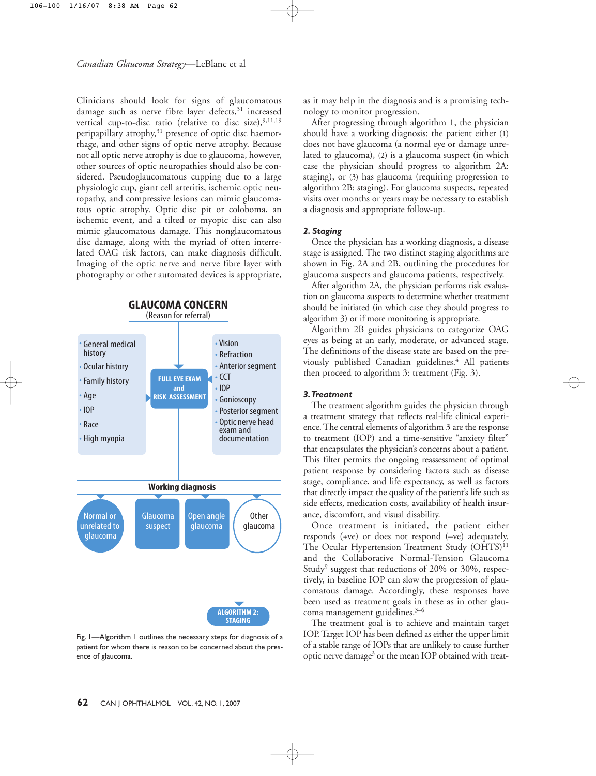Clinicians should look for signs of glaucomatous damage such as nerve fibre layer defects, $31$  increased vertical cup-to-disc ratio (relative to disc size),  $9,11,19$ peripapillary atrophy,<sup>31</sup> presence of optic disc haemorrhage, and other signs of optic nerve atrophy. Because not all optic nerve atrophy is due to glaucoma, however, other sources of optic neuropathies should also be considered. Pseudoglaucomatous cupping due to a large physiologic cup, giant cell arteritis, ischemic optic neuropathy, and compressive lesions can mimic glaucomatous optic atrophy. Optic disc pit or coloboma, an ischemic event, and a tilted or myopic disc can also mimic glaucomatous damage. This nonglaucomatous disc damage, along with the myriad of often interrelated OAG risk factors, can make diagnosis difficult. Imaging of the optic nerve and nerve fibre layer with photography or other automated devices is appropriate,



Fig. 1—Algorithm 1 outlines the necessary steps for diagnosis of a patient for whom there is reason to be concerned about the presence of glaucoma.

as it may help in the diagnosis and is a promising technology to monitor progression.

After progressing through algorithm 1, the physician should have a working diagnosis: the patient either (1) does not have glaucoma (a normal eye or damage unrelated to glaucoma), (2) is a glaucoma suspect (in which case the physician should progress to algorithm 2A: staging), or (3) has glaucoma (requiring progression to algorithm 2B: staging). For glaucoma suspects, repeated visits over months or years may be necessary to establish a diagnosis and appropriate follow-up.

## *2. Staging*

Once the physician has a working diagnosis, a disease stage is assigned. The two distinct staging algorithms are shown in Fig. 2A and 2B, outlining the procedures for glaucoma suspects and glaucoma patients, respectively.

After algorithm 2A, the physician performs risk evaluation on glaucoma suspects to determine whether treatment should be initiated (in which case they should progress to algorithm 3) or if more monitoring is appropriate.

Algorithm 2B guides physicians to categorize OAG eyes as being at an early, moderate, or advanced stage. The definitions of the disease state are based on the previously published Canadian guidelines.<sup>4</sup> All patients then proceed to algorithm 3: treatment (Fig. 3).

## *3.Treatment*

The treatment algorithm guides the physician through a treatment strategy that reflects real-life clinical experience. The central elements of algorithm 3 are the response to treatment (IOP) and a time-sensitive "anxiety filter" that encapsulates the physician's concerns about a patient. This filter permits the ongoing reassessment of optimal patient response by considering factors such as disease stage, compliance, and life expectancy, as well as factors that directly impact the quality of the patient's life such as side effects, medication costs, availability of health insurance, discomfort, and visual disability.

Once treatment is initiated, the patient either responds (+ve) or does not respond (–ve) adequately. The Ocular Hypertension Treatment Study (OHTS)<sup>11</sup> and the Collaborative Normal-Tension Glaucoma Study<sup>9</sup> suggest that reductions of 20% or 30%, respectively, in baseline IOP can slow the progression of glaucomatous damage. Accordingly, these responses have been used as treatment goals in these as in other glaucoma management guidelines.<sup>3-6</sup>

The treatment goal is to achieve and maintain target IOP. Target IOP has been defined as either the upper limit of a stable range of IOPs that are unlikely to cause further optic nerve damage<sup>3</sup> or the mean IOP obtained with treat-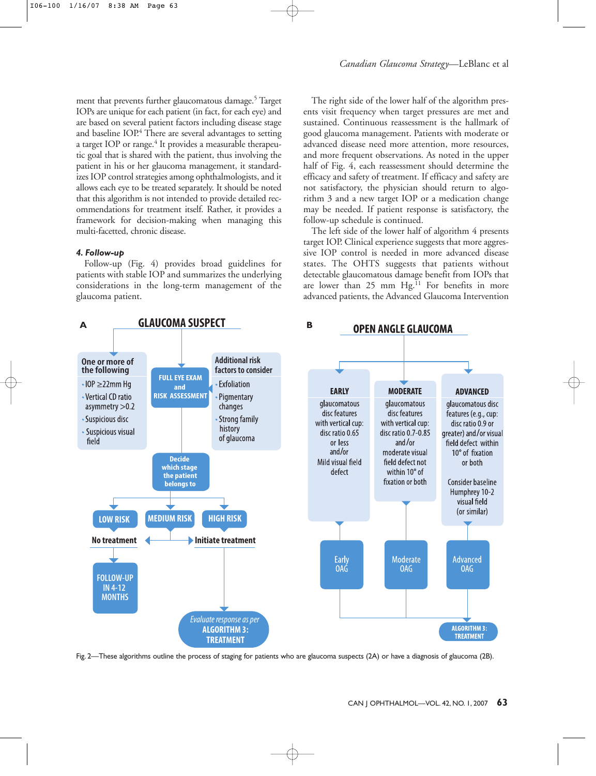ment that prevents further glaucomatous damage.<sup>5</sup> Target IOPs are unique for each patient (in fact, for each eye) and are based on several patient factors including disease stage and baseline IOP.<sup>4</sup> There are several advantages to setting a target IOP or range.<sup>4</sup> It provides a measurable therapeutic goal that is shared with the patient, thus involving the patient in his or her glaucoma management, it standardizes IOP control strategies among ophthalmologists, and it allows each eye to be treated separately. It should be noted that this algorithm is not intended to provide detailed recommendations for treatment itself. Rather, it provides a framework for decision-making when managing this multi-facetted, chronic disease.

#### *4. Follow-up*

Follow-up (Fig. 4) provides broad guidelines for patients with stable IOP and summarizes the underlying considerations in the long-term management of the glaucoma patient.

The right side of the lower half of the algorithm presents visit frequency when target pressures are met and sustained. Continuous reassessment is the hallmark of good glaucoma management. Patients with moderate or advanced disease need more attention, more resources, and more frequent observations. As noted in the upper half of Fig. 4, each reassessment should determine the efficacy and safety of treatment. If efficacy and safety are not satisfactory, the physician should return to algorithm 3 and a new target IOP or a medication change may be needed. If patient response is satisfactory, the follow-up schedule is continued.

The left side of the lower half of algorithm 4 presents target IOP. Clinical experience suggests that more aggressive IOP control is needed in more advanced disease states. The OHTS suggests that patients without detectable glaucomatous damage benefit from IOPs that are lower than 25 mm Hg.<sup>11</sup> For benefits in more advanced patients, the Advanced Glaucoma Intervention



Fig. 2—These algorithms outline the process of staging for patients who are glaucoma suspects (2A) or have a diagnosis of glaucoma (2B).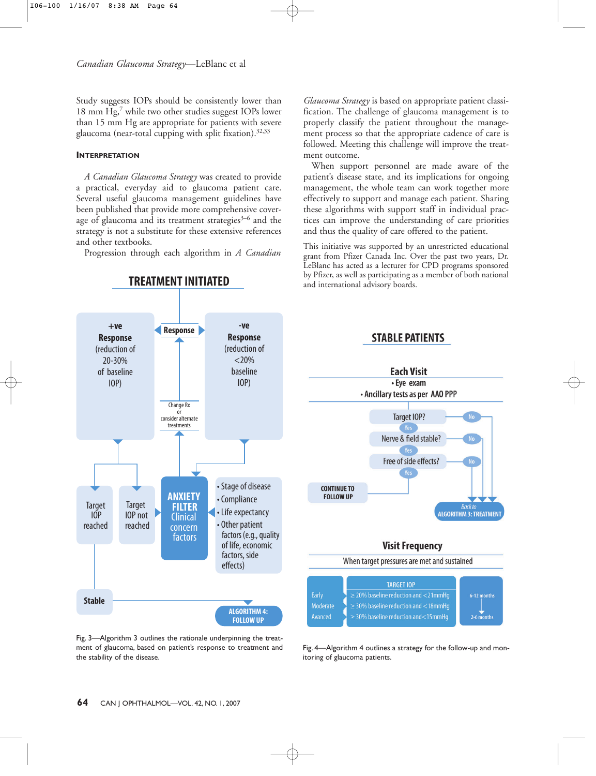Study suggests IOPs should be consistently lower than 18 mm Hg,<sup>7</sup> while two other studies suggest IOPs lower than 15 mm Hg are appropriate for patients with severe glaucoma (near-total cupping with split fixation).32,33

#### **INTERPRETATION**

*A Canadian Glaucoma Strategy* was created to provide a practical, everyday aid to glaucoma patient care. Several useful glaucoma management guidelines have been published that provide more comprehensive coverage of glaucoma and its treatment strategies $3-6$  and the strategy is not a substitute for these extensive references and other textbooks.

Progression through each algorithm in *A Canadian*

**TREATMENT INITIATED**

*Glaucoma Strategy* is based on appropriate patient classification. The challenge of glaucoma management is to properly classify the patient throughout the management process so that the appropriate cadence of care is followed. Meeting this challenge will improve the treatment outcome.

When support personnel are made aware of the patient's disease state, and its implications for ongoing management, the whole team can work together more effectively to support and manage each patient. Sharing these algorithms with support staff in individual practices can improve the understanding of care priorities and thus the quality of care offered to the patient.

This initiative was supported by an unrestricted educational grant from Pfizer Canada Inc. Over the past two years, Dr. LeBlanc has acted as a lecturer for CPD programs sponsored by Pfizer, as well as participating as a member of both national and international advisory boards.



Fig. 3—Algorithm 3 outlines the rationale underpinning the treatment of glaucoma, based on patient's response to treatment and the stability of the disease.

Fig. 4—Algorithm 4 outlines a strategy for the follow-up and monitoring of glaucoma patients.